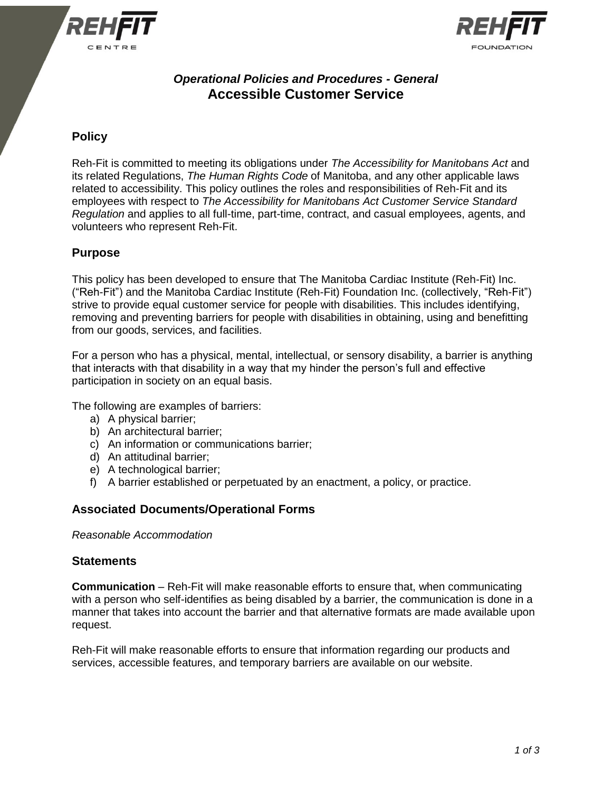



# *Operational Policies and Procedures - General* **Accessible Customer Service**

## **Policy**

Reh-Fit is committed to meeting its obligations under *The Accessibility for Manitobans Act* and its related Regulations, *The Human Rights Code* of Manitoba, and any other applicable laws related to accessibility. This policy outlines the roles and responsibilities of Reh-Fit and its employees with respect to *The Accessibility for Manitobans Act Customer Service Standard Regulation* and applies to all full-time, part-time, contract, and casual employees, agents, and volunteers who represent Reh-Fit.

### **Purpose**

This policy has been developed to ensure that The Manitoba Cardiac Institute (Reh-Fit) Inc. ("Reh-Fit") and the Manitoba Cardiac Institute (Reh-Fit) Foundation Inc. (collectively, "Reh-Fit") strive to provide equal customer service for people with disabilities. This includes identifying, removing and preventing barriers for people with disabilities in obtaining, using and benefitting from our goods, services, and facilities.

For a person who has a physical, mental, intellectual, or sensory disability, a barrier is anything that interacts with that disability in a way that my hinder the person's full and effective participation in society on an equal basis.

The following are examples of barriers:

- a) A physical barrier;
- b) An architectural barrier;
- c) An information or communications barrier;
- d) An attitudinal barrier;
- e) A technological barrier;
- f) A barrier established or perpetuated by an enactment, a policy, or practice.

### **Associated Documents/Operational Forms**

*Reasonable Accommodation*

#### **Statements**

**Communication** – Reh-Fit will make reasonable efforts to ensure that, when communicating with a person who self-identifies as being disabled by a barrier, the communication is done in a manner that takes into account the barrier and that alternative formats are made available upon request.

Reh-Fit will make reasonable efforts to ensure that information regarding our products and services, accessible features, and temporary barriers are available on our website.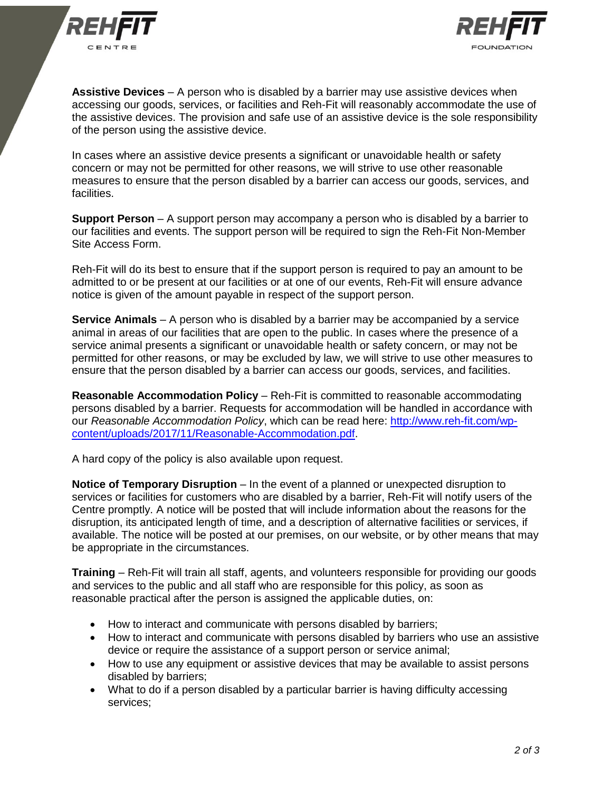



**Assistive Devices** – A person who is disabled by a barrier may use assistive devices when accessing our goods, services, or facilities and Reh-Fit will reasonably accommodate the use of the assistive devices. The provision and safe use of an assistive device is the sole responsibility of the person using the assistive device.

In cases where an assistive device presents a significant or unavoidable health or safety concern or may not be permitted for other reasons, we will strive to use other reasonable measures to ensure that the person disabled by a barrier can access our goods, services, and facilities.

**Support Person** – A support person may accompany a person who is disabled by a barrier to our facilities and events. The support person will be required to sign the Reh-Fit Non-Member Site Access Form.

Reh-Fit will do its best to ensure that if the support person is required to pay an amount to be admitted to or be present at our facilities or at one of our events, Reh-Fit will ensure advance notice is given of the amount payable in respect of the support person.

**Service Animals** – A person who is disabled by a barrier may be accompanied by a service animal in areas of our facilities that are open to the public. In cases where the presence of a service animal presents a significant or unavoidable health or safety concern, or may not be permitted for other reasons, or may be excluded by law, we will strive to use other measures to ensure that the person disabled by a barrier can access our goods, services, and facilities.

**Reasonable Accommodation Policy** – Reh-Fit is committed to reasonable accommodating persons disabled by a barrier. Requests for accommodation will be handled in accordance with our *Reasonable Accommodation Policy*, which can be read here: [http://www.reh-fit.com/wp](http://www.reh-fit.com/wp-content/uploads/2017/11/Reasonable-Accommodation.pdf)[content/uploads/2017/11/Reasonable-Accommodation.pdf.](http://www.reh-fit.com/wp-content/uploads/2017/11/Reasonable-Accommodation.pdf)

A hard copy of the policy is also available upon request.

**Notice of Temporary Disruption** – In the event of a planned or unexpected disruption to services or facilities for customers who are disabled by a barrier, Reh-Fit will notify users of the Centre promptly. A notice will be posted that will include information about the reasons for the disruption, its anticipated length of time, and a description of alternative facilities or services, if available. The notice will be posted at our premises, on our website, or by other means that may be appropriate in the circumstances.

**Training** – Reh-Fit will train all staff, agents, and volunteers responsible for providing our goods and services to the public and all staff who are responsible for this policy, as soon as reasonable practical after the person is assigned the applicable duties, on:

- How to interact and communicate with persons disabled by barriers;
- How to interact and communicate with persons disabled by barriers who use an assistive device or require the assistance of a support person or service animal;
- How to use any equipment or assistive devices that may be available to assist persons disabled by barriers;
- What to do if a person disabled by a particular barrier is having difficulty accessing services;